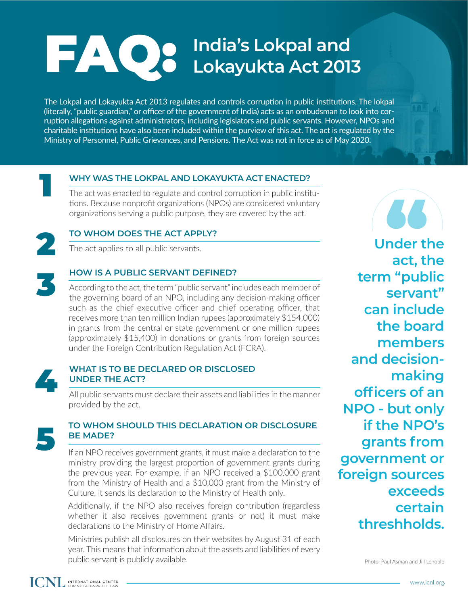# FAQ: **India's Lokpal and Lokayukta Act 2013**

The Lokpal and Lokayukta Act 2013 regulates and controls corruption in public institutions. The lokpal (literally, "public guardian," or officer of the government of India) acts as an ombudsman to look into corruption allegations against administrators, including legislators and public servants. However, NPOs and charitable institutions have also been included within the purview of this act. The act is regulated by the Ministry of Personnel, Public Grievances, and Pensions. The Act was not in force as of May 2020.

### **WHY WAS THE LOKPAL AND LOKAYUKTA ACT ENACTED?**

The act was enacted to regulate and control corruption in public institutions. Because nonprofit organizations (NPOs) are considered voluntary organizations serving a public purpose, they are covered by the act.

## **TO WHOM DOES THE ACT APPLY?**

The act applies to all public servants.

## **HOW IS A PUBLIC SERVANT DEFINED?**

According to the act, the term "public servant" includes each member of the governing board of an NPO, including any decision-making officer such as the chief executive officer and chief operating officer, that receives more than ten million Indian rupees (approximately \$154,000) in grants from the central or state government or one million rupees (approximately \$15,400) in donations or grants from foreign sources under the Foreign Contribution Regulation Act (FCRA).



1

2

3

### **WHAT IS TO BE DECLARED OR DISCLOSED UNDER THE ACT?**

All public servants must declare their assets and liabilities in the manner provided by the act.



# **TO WHOM SHOULD THIS DECLARATION OR DISCLOSURE BE MADE?**<br> **If** an NPO receives government grants, it must make a declaration to the

ministry providing the largest proportion of government grants during the previous year. For example, if an NPO received a \$100,000 grant from the Ministry of Health and a \$10,000 grant from the Ministry of Culture, it sends its declaration to the Ministry of Health only.

Additionally, if the NPO also receives foreign contribution (regardless whether it also receives government grants or not) it must make declarations to the Ministry of Home Affairs.

Ministries publish all disclosures on their websites by August 31 of each year. This means that information about the assets and liabilities of every public servant is publicly available.

**act**, the **Under the term "public servant" can include the board members and decisionmaking officers of an NPO - but only if the NPO's grants from government or foreign sources exceeds certain threshholds.**

Photo: Paul Asman and Jill Lenoble